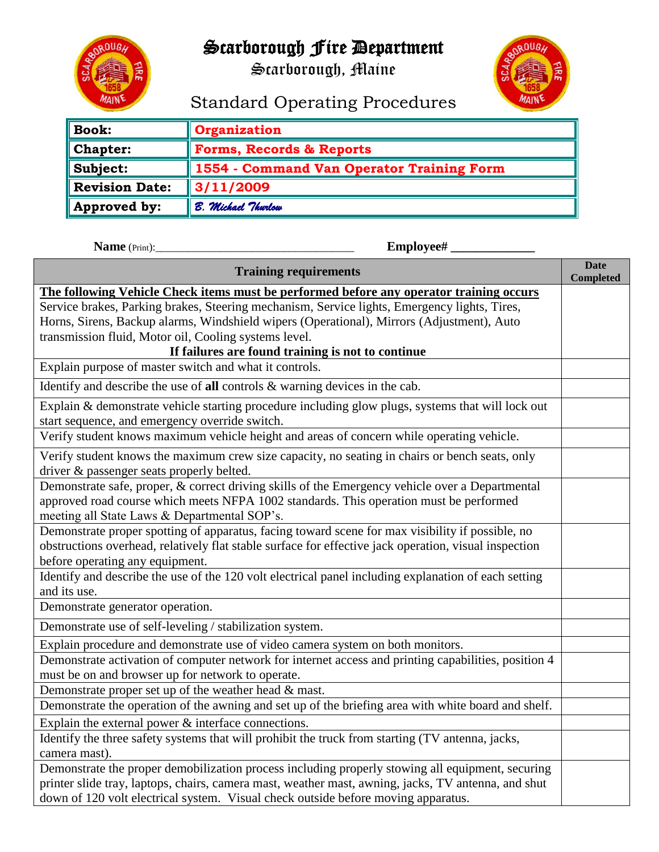

# Scarborough Fire Department

Scarborough, Maine



# Standard Operating Procedures

| <b>Book:</b>          | <b>Organization</b>                       |
|-----------------------|-------------------------------------------|
| <b>Chapter:</b>       | <b>Forms, Records &amp; Reports</b>       |
| Subject:              | 1554 - Command Van Operator Training Form |
| <b>Revision Date:</b> | $\parallel$ 3/11/2009                     |
| Approved by:          | B. Michael Thurlow                        |

 **Name** (Print):\_\_\_\_\_\_\_\_\_\_\_\_\_\_\_\_\_\_\_\_\_\_\_\_\_\_\_\_\_\_\_\_\_\_\_\_\_ **Employee# \_\_\_\_\_\_\_\_\_\_\_\_\_**

| <b>Training requirements</b>                                                                                                                                                                                                                       |  |  |  |  |  |
|----------------------------------------------------------------------------------------------------------------------------------------------------------------------------------------------------------------------------------------------------|--|--|--|--|--|
| The following Vehicle Check items must be performed before any operator training occurs                                                                                                                                                            |  |  |  |  |  |
| Service brakes, Parking brakes, Steering mechanism, Service lights, Emergency lights, Tires,<br>Horns, Sirens, Backup alarms, Windshield wipers (Operational), Mirrors (Adjustment), Auto<br>transmission fluid, Motor oil, Cooling systems level. |  |  |  |  |  |
| If failures are found training is not to continue                                                                                                                                                                                                  |  |  |  |  |  |
| Explain purpose of master switch and what it controls.                                                                                                                                                                                             |  |  |  |  |  |
| Identify and describe the use of all controls $\&$ warning devices in the cab.                                                                                                                                                                     |  |  |  |  |  |
| Explain & demonstrate vehicle starting procedure including glow plugs, systems that will lock out<br>start sequence, and emergency override switch.                                                                                                |  |  |  |  |  |
| Verify student knows maximum vehicle height and areas of concern while operating vehicle.                                                                                                                                                          |  |  |  |  |  |
| Verify student knows the maximum crew size capacity, no seating in chairs or bench seats, only<br>driver & passenger seats properly belted.                                                                                                        |  |  |  |  |  |
| Demonstrate safe, proper, & correct driving skills of the Emergency vehicle over a Departmental<br>approved road course which meets NFPA 1002 standards. This operation must be performed<br>meeting all State Laws & Departmental SOP's.          |  |  |  |  |  |
| Demonstrate proper spotting of apparatus, facing toward scene for max visibility if possible, no<br>obstructions overhead, relatively flat stable surface for effective jack operation, visual inspection<br>before operating any equipment.       |  |  |  |  |  |
| Identify and describe the use of the 120 volt electrical panel including explanation of each setting<br>and its use.                                                                                                                               |  |  |  |  |  |
| Demonstrate generator operation.                                                                                                                                                                                                                   |  |  |  |  |  |
| Demonstrate use of self-leveling / stabilization system.                                                                                                                                                                                           |  |  |  |  |  |
| Explain procedure and demonstrate use of video camera system on both monitors.                                                                                                                                                                     |  |  |  |  |  |
| Demonstrate activation of computer network for internet access and printing capabilities, position 4<br>must be on and browser up for network to operate.                                                                                          |  |  |  |  |  |
| Demonstrate proper set up of the weather head & mast.                                                                                                                                                                                              |  |  |  |  |  |
| Demonstrate the operation of the awning and set up of the briefing area with white board and shelf.                                                                                                                                                |  |  |  |  |  |
| Explain the external power $\&$ interface connections.                                                                                                                                                                                             |  |  |  |  |  |
| Identify the three safety systems that will prohibit the truck from starting (TV antenna, jacks,                                                                                                                                                   |  |  |  |  |  |
| camera mast).                                                                                                                                                                                                                                      |  |  |  |  |  |
| Demonstrate the proper demobilization process including properly stowing all equipment, securing                                                                                                                                                   |  |  |  |  |  |
| printer slide tray, laptops, chairs, camera mast, weather mast, awning, jacks, TV antenna, and shut<br>down of 120 volt electrical system. Visual check outside before moving apparatus.                                                           |  |  |  |  |  |